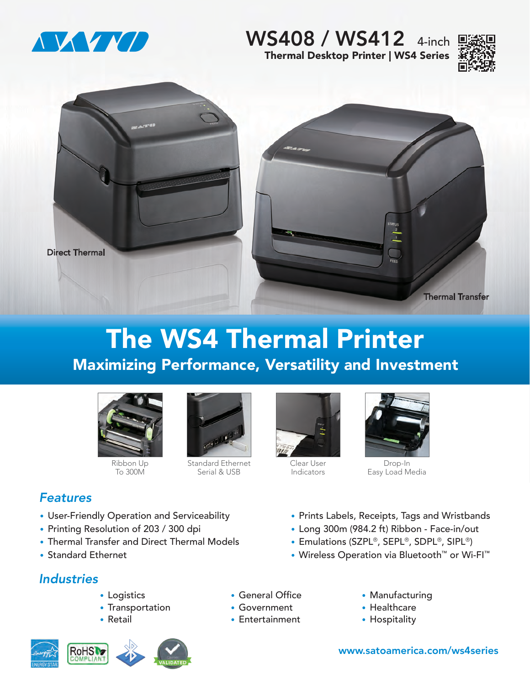

# Thermal Desktop Printer | WS4 Series WS408 / WS412 4-inch





# The WS4 Thermal Printer Maximizing Performance, Versatility and Investment



Ribbon Up To 300M

• User-Friendly Operation and Serviceability

• Thermal Transfer and Direct Thermal Models



Standard Ethernet Serial & USB



Clear User Indicators



Drop-In Easy Load Media

- Prints Labels, Receipts, Tags and Wristbands
- Long 300m (984.2 ft) Ribbon Face-in/out
- Emulations (SZPL®, SEPL®, SDPL®, SIPL®)
- Wireless Operation via Bluetooth™ or Wi-FI™

*Industries*

• Standard Ethernet

*Features*

• Logistics

• Printing Resolution of 203 / 300 dpi

- Transportation
- Retail



- General Office
- Government
- Entertainment
- Manufacturing
- Healthcare
- Hospitality

www.satoamerica.com/ws4series